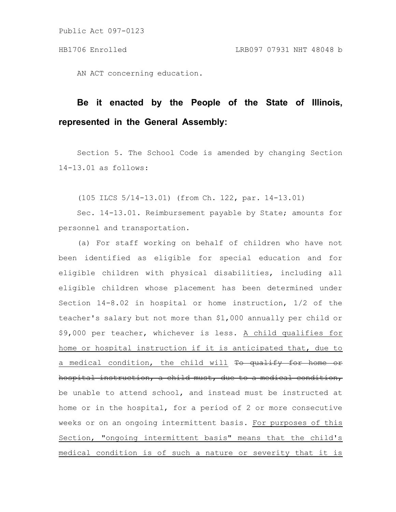Public Act 097-0123

AN ACT concerning education.

## **Be it enacted by the People of the State of Illinois, represented in the General Assembly:**

Section 5. The School Code is amended by changing Section 14-13.01 as follows:

(105 ILCS 5/14-13.01) (from Ch. 122, par. 14-13.01)

Sec. 14-13.01. Reimbursement payable by State; amounts for personnel and transportation.

(a) For staff working on behalf of children who have not been identified as eligible for special education and for eligible children with physical disabilities, including all eligible children whose placement has been determined under Section 14-8.02 in hospital or home instruction, 1/2 of the teacher's salary but not more than \$1,000 annually per child or \$9,000 per teacher, whichever is less. A child qualifies for home or hospital instruction if it is anticipated that, due to a medical condition, the child will To qualify for home hospital instruction, a child must, due to a medical condition, be unable to attend school, and instead must be instructed at home or in the hospital, for a period of 2 or more consecutive weeks or on an ongoing intermittent basis. For purposes of this Section, "ongoing intermittent basis" means that the child's medical condition is of such a nature or severity that it is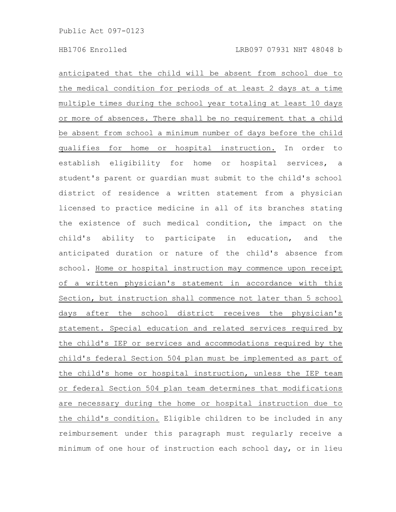anticipated that the child will be absent from school due to the medical condition for periods of at least 2 days at a time multiple times during the school year totaling at least 10 days or more of absences. There shall be no requirement that a child be absent from school a minimum number of days before the child qualifies for home or hospital instruction. In order to establish eligibility for home or hospital services, a student's parent or guardian must submit to the child's school district of residence a written statement from a physician licensed to practice medicine in all of its branches stating the existence of such medical condition, the impact on the child's ability to participate in education, and the anticipated duration or nature of the child's absence from school. Home or hospital instruction may commence upon receipt of a written physician's statement in accordance with this Section, but instruction shall commence not later than 5 school days after the school district receives the physician's statement. Special education and related services required by the child's IEP or services and accommodations required by the child's federal Section 504 plan must be implemented as part of the child's home or hospital instruction, unless the IEP team or federal Section 504 plan team determines that modifications are necessary during the home or hospital instruction due to the child's condition. Eligible children to be included in any reimbursement under this paragraph must regularly receive a minimum of one hour of instruction each school day, or in lieu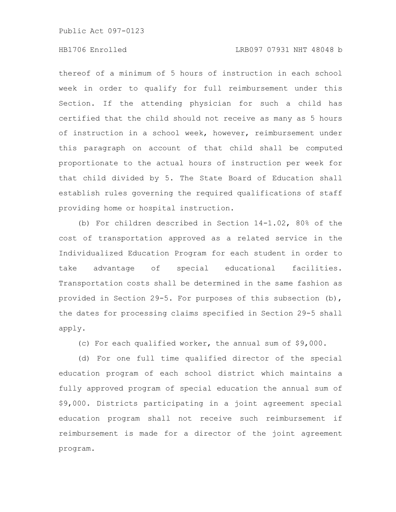Public Act 097-0123

## HB1706 Enrolled LRB097 07931 NHT 48048 b

thereof of a minimum of 5 hours of instruction in each school week in order to qualify for full reimbursement under this Section. If the attending physician for such a child has certified that the child should not receive as many as 5 hours of instruction in a school week, however, reimbursement under this paragraph on account of that child shall be computed proportionate to the actual hours of instruction per week for that child divided by 5. The State Board of Education shall establish rules governing the required qualifications of staff providing home or hospital instruction.

(b) For children described in Section 14-1.02, 80% of the cost of transportation approved as a related service in the Individualized Education Program for each student in order to take advantage of special educational facilities. Transportation costs shall be determined in the same fashion as provided in Section 29-5. For purposes of this subsection (b), the dates for processing claims specified in Section 29-5 shall apply.

(c) For each qualified worker, the annual sum of \$9,000.

(d) For one full time qualified director of the special education program of each school district which maintains a fully approved program of special education the annual sum of \$9,000. Districts participating in a joint agreement special education program shall not receive such reimbursement if reimbursement is made for a director of the joint agreement program.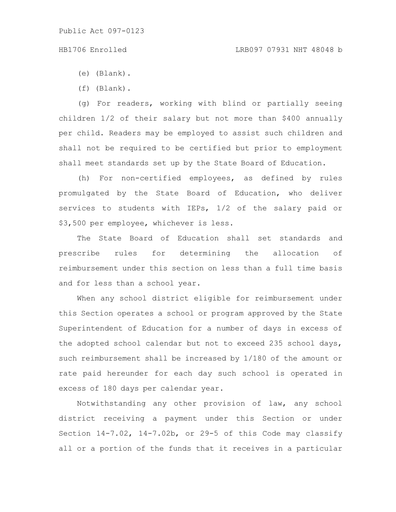## HB1706 Enrolled LRB097 07931 NHT 48048 b

- (e) (Blank).
- (f) (Blank).

(g) For readers, working with blind or partially seeing children 1/2 of their salary but not more than \$400 annually per child. Readers may be employed to assist such children and shall not be required to be certified but prior to employment shall meet standards set up by the State Board of Education.

(h) For non-certified employees, as defined by rules promulgated by the State Board of Education, who deliver services to students with IEPs, 1/2 of the salary paid or \$3,500 per employee, whichever is less.

The State Board of Education shall set standards and prescribe rules for determining the allocation of reimbursement under this section on less than a full time basis and for less than a school year.

When any school district eligible for reimbursement under this Section operates a school or program approved by the State Superintendent of Education for a number of days in excess of the adopted school calendar but not to exceed 235 school days, such reimbursement shall be increased by 1/180 of the amount or rate paid hereunder for each day such school is operated in excess of 180 days per calendar year.

Notwithstanding any other provision of law, any school district receiving a payment under this Section or under Section 14-7.02, 14-7.02b, or 29-5 of this Code may classify all or a portion of the funds that it receives in a particular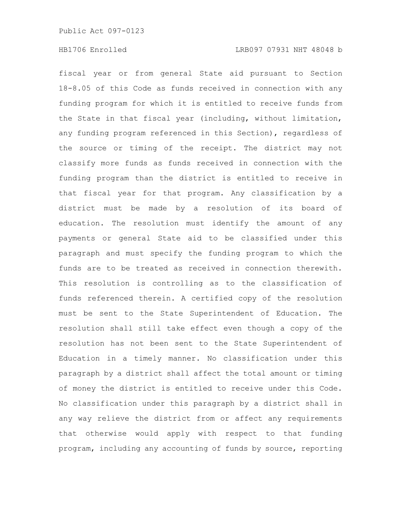fiscal year or from general State aid pursuant to Section 18-8.05 of this Code as funds received in connection with any funding program for which it is entitled to receive funds from the State in that fiscal year (including, without limitation, any funding program referenced in this Section), regardless of the source or timing of the receipt. The district may not classify more funds as funds received in connection with the funding program than the district is entitled to receive in that fiscal year for that program. Any classification by a district must be made by a resolution of its board of education. The resolution must identify the amount of any payments or general State aid to be classified under this paragraph and must specify the funding program to which the funds are to be treated as received in connection therewith. This resolution is controlling as to the classification of funds referenced therein. A certified copy of the resolution must be sent to the State Superintendent of Education. The resolution shall still take effect even though a copy of the resolution has not been sent to the State Superintendent of Education in a timely manner. No classification under this paragraph by a district shall affect the total amount or timing of money the district is entitled to receive under this Code. No classification under this paragraph by a district shall in any way relieve the district from or affect any requirements that otherwise would apply with respect to that funding program, including any accounting of funds by source, reporting